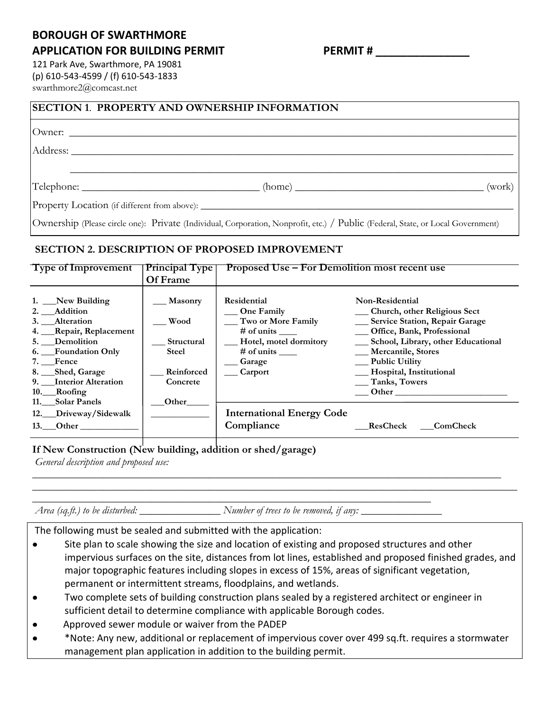## **BOROUGH OF SWARTHMORE APPLICATION FOR BUILDING PERMIT PERMIT # \_\_\_\_\_\_\_\_\_\_\_\_\_\_\_**

121 Park Ave, Swarthmore, PA 19081 (p) 610-543-4599 / (f) 610-543-1833 swarthmore2@comcast.net

#### **SECTION 1**. **PROPERTY AND OWNERSHIP INFORMATION**

Owner:

Address: \_\_\_\_\_\_\_\_\_\_\_\_\_\_\_\_\_\_\_\_\_\_\_\_\_\_\_\_\_\_\_\_\_\_\_\_\_\_\_\_\_\_\_\_\_\_\_\_\_\_\_\_\_\_\_\_\_\_\_\_\_\_\_\_\_\_\_\_\_\_\_\_\_\_\_\_\_\_\_\_\_\_

 $\text{Telephone:}$  (home)  $\qquad \qquad \text{(work)}$ 

\_\_\_\_\_\_\_\_\_\_\_\_\_\_\_\_\_\_\_\_\_\_\_\_\_\_\_\_\_\_\_\_\_\_\_\_\_\_\_\_\_\_\_\_\_\_\_\_\_\_\_\_\_\_\_\_\_\_\_\_\_\_\_\_\_\_\_\_\_\_\_\_\_\_\_\_\_\_\_\_\_\_\_

Property Location (if different from above):

Ownership (Please circle one): Private (Individual, Corporation, Nonprofit, etc.) / Public (Federal, State, or Local Government)

### **SECTION 2. DESCRIPTION OF PROPOSED IMPROVEMENT**

| <b>Type of Improvement</b>                                                                                                                                                                                                                            | <b>Principal Type</b>                                                                   | <b>Proposed Use – For Demolition most recent use</b>                                                                                                                                         |                                                                                                                                                                                                                                                                                                                  |  |
|-------------------------------------------------------------------------------------------------------------------------------------------------------------------------------------------------------------------------------------------------------|-----------------------------------------------------------------------------------------|----------------------------------------------------------------------------------------------------------------------------------------------------------------------------------------------|------------------------------------------------------------------------------------------------------------------------------------------------------------------------------------------------------------------------------------------------------------------------------------------------------------------|--|
|                                                                                                                                                                                                                                                       | Of Frame                                                                                |                                                                                                                                                                                              |                                                                                                                                                                                                                                                                                                                  |  |
| 1. New Building<br>2. Addition<br>3. Alteration<br>4. Repair, Replacement<br>5. Demolition<br>6. Foundation Only<br>7. Fence<br>8. __Shed, Garage<br>9. Interior Alteration<br>10.__Roofing<br>11. Solar Panels<br>12. Driveway/Sidewalk<br>13. Other | <b>Masonry</b><br>Wood<br>Structural<br><b>Steel</b><br>Reinforced<br>Concrete<br>Other | Residential<br>One Family<br>Two or More Family<br>$#$ of units<br>Hotel, motel dormitory<br># of units $\_\_$<br>Garage<br><b>Carport</b><br><b>International Energy Code</b><br>Compliance | Non-Residential<br>__ Church, other Religious Sect<br>__ Service Station, Repair Garage<br>__ Office, Bank, Professional<br>__ School, Library, other Educational<br>__ Mercantile, Stores<br><u>__</u> Public Utility<br>__ Hospital, Institutional<br>__ Tanks, Towers<br><b>Other</b><br>ResCheck<br>ComCheck |  |
|                                                                                                                                                                                                                                                       |                                                                                         |                                                                                                                                                                                              |                                                                                                                                                                                                                                                                                                                  |  |

**If New Construction (New building, addition or shed/garage)**

*General description and proposed use:* 

*\_\_\_\_\_\_\_\_\_\_\_\_\_\_\_\_\_\_\_\_\_\_\_\_\_\_\_\_\_\_\_\_\_\_\_\_\_\_\_\_\_\_\_\_\_\_\_\_\_\_\_\_\_\_\_\_\_\_\_\_\_\_\_\_\_\_\_\_\_\_\_\_\_\_*

*Area (sq.ft.) to be disturbed: \_\_\_\_\_\_\_\_\_\_\_\_\_\_\_ Number of trees to be removed, if any: \_\_\_\_\_\_\_\_\_\_\_\_\_\_\_*

*\_\_\_\_\_\_\_\_\_\_\_\_\_\_\_\_\_\_\_\_\_\_\_\_\_\_\_\_\_\_\_\_\_\_\_\_\_\_\_\_\_\_\_\_\_\_\_\_\_\_\_\_\_\_\_\_\_\_\_\_\_\_\_\_\_\_\_\_\_\_\_\_\_\_\_\_\_\_\_\_\_\_\_\_\_\_\_ \_\_\_\_\_\_\_\_\_\_\_\_\_\_\_\_\_\_\_\_\_\_\_\_\_\_\_\_\_\_\_\_\_\_\_\_\_\_\_\_\_\_\_\_\_\_\_\_\_\_\_\_\_\_\_\_\_\_\_\_\_\_\_\_\_\_\_\_\_\_\_\_\_\_\_\_\_\_\_\_\_\_\_\_\_\_\_\_\_\_*

The following must be sealed and submitted with the application:

- Site plan to scale showing the size and location of existing and proposed structures and other  $\bullet$ impervious surfaces on the site, distances from lot lines, established and proposed finished grades, and major topographic features including slopes in excess of 15%, areas of significant vegetation, permanent or intermittent streams, floodplains, and wetlands.
- Two complete sets of building construction plans sealed by a registered architect or engineer in  $\bullet$ sufficient detail to determine compliance with applicable Borough codes.
- Approved sewer module or waiver from the PADEP  $\bullet$
- \*Note: Any new, additional or replacement of impervious cover over 499 sq.ft. requires a stormwater  $\bullet$ management plan application in addition to the building permit.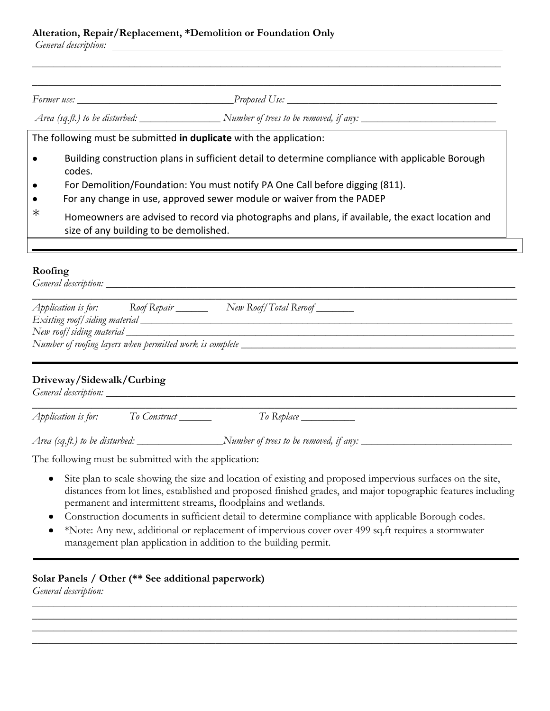### **Alteration, Repair/Replacement, \*Demolition or Foundation Only**

*General description:* 

|                        | Former use: <u>Proposed</u> Use:                                                                                                                                                                                                                                    |
|------------------------|---------------------------------------------------------------------------------------------------------------------------------------------------------------------------------------------------------------------------------------------------------------------|
|                        |                                                                                                                                                                                                                                                                     |
|                        | The following must be submitted in duplicate with the application:                                                                                                                                                                                                  |
| $\bullet$<br>$\bullet$ | Building construction plans in sufficient detail to determine compliance with applicable Borough<br>codes.<br>For Demolition/Foundation: You must notify PA One Call before digging (811).<br>For any change in use, approved sewer module or waiver from the PADEP |
| $\ast$                 | Homeowners are advised to record via photographs and plans, if available, the exact location and<br>size of any building to be demolished.                                                                                                                          |

*\_\_\_\_\_\_\_\_\_\_\_\_\_\_\_\_\_\_\_\_\_\_\_\_\_\_\_\_\_\_\_\_\_\_\_\_\_\_\_\_\_\_\_\_\_\_\_\_\_\_\_\_\_\_\_\_\_\_\_\_\_\_\_\_\_\_\_\_\_\_\_\_\_\_\_\_\_\_\_\_\_\_\_\_\_\_\_* 

#### **Roofing**

|                               | Application is for: Roof Repair ______ | New Roof/Total Reroof |
|-------------------------------|----------------------------------------|-----------------------|
| Existing roof/siding material |                                        |                       |
|                               |                                        |                       |

### **Driveway/Sidewalk/Curbing**

*General description: \_\_\_\_\_\_\_\_\_\_\_\_\_\_\_\_\_\_\_\_\_\_\_\_\_\_\_\_\_\_\_\_\_\_\_\_\_\_\_\_\_\_\_\_\_\_\_\_\_\_\_\_\_\_\_\_\_\_\_\_\_\_\_\_\_\_\_\_\_\_\_\_\_\_\_\_*

| Аћћі<br>lication is for:<br>- - | $\sqrt{ }$ |  |
|---------------------------------|------------|--|

*Area (sq.ft.) to be disturbed: \_\_\_\_\_\_\_\_\_\_\_\_\_\_\_\_Number of trees to be removed, if any: \_\_\_\_\_\_\_\_\_\_\_\_\_\_\_\_\_\_\_\_\_\_\_\_\_\_\_\_*

The following must be submitted with the application:

- $\bullet$ Site plan to scale showing the size and location of existing and proposed impervious surfaces on the site, distances from lot lines, established and proposed finished grades, and major topographic features including permanent and intermittent streams, floodplains and wetlands.
- Construction documents in sufficient detail to determine compliance with applicable Borough codes.
- \*Note: Any new, additional or replacement of impervious cover over 499 sq.ft requires a stormwater management plan application in addition to the building permit.

*\_\_\_\_\_\_\_\_\_\_\_\_\_\_\_\_\_\_\_\_\_\_\_\_\_\_\_\_\_\_\_\_\_\_\_\_\_\_\_\_\_\_\_\_\_\_\_\_\_\_\_\_\_\_\_\_\_\_\_\_\_\_\_\_\_\_\_\_\_\_\_\_\_\_\_\_\_\_\_\_\_\_\_\_\_\_\_\_\_\_ \_\_\_\_\_\_\_\_\_\_\_\_\_\_\_\_\_\_\_\_\_\_\_\_\_\_\_\_\_\_\_\_\_\_\_\_\_\_\_\_\_\_\_\_\_\_\_\_\_\_\_\_\_\_\_\_\_\_\_\_\_\_\_\_\_\_\_\_\_\_\_\_\_\_\_\_\_\_\_\_\_\_\_\_\_\_\_\_\_\_ \_\_\_\_\_\_\_\_\_\_\_\_\_\_\_\_\_\_\_\_\_\_\_\_\_\_\_\_\_\_\_\_\_\_\_\_\_\_\_\_\_\_\_\_\_\_\_\_\_\_\_\_\_\_\_\_\_\_\_\_\_\_\_\_\_\_\_\_\_\_\_\_\_\_\_\_\_\_\_\_\_\_\_\_\_\_\_\_\_\_ \_\_\_\_\_\_\_\_\_\_\_\_\_\_\_\_\_\_\_\_\_\_\_\_\_\_\_\_\_\_\_\_\_\_\_\_\_\_\_\_\_\_\_\_\_\_\_\_\_\_\_\_\_\_\_\_\_\_\_\_\_\_\_\_\_\_\_\_\_\_\_\_\_\_\_\_\_\_\_\_\_\_\_\_\_\_\_\_\_\_*

# **Solar Panels / Other (\*\* See additional paperwork)**

*General description:*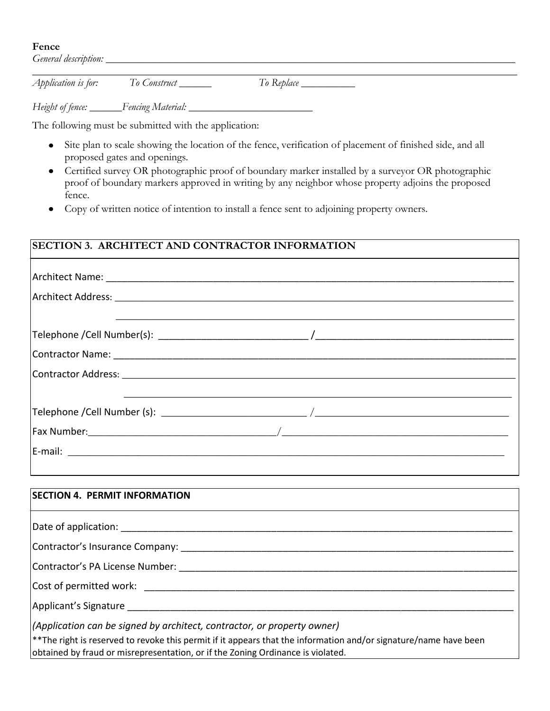#### **Fence**

*General description: \_\_\_\_\_\_\_\_\_\_\_\_\_\_\_\_\_\_\_\_\_\_\_\_\_\_\_\_\_\_\_\_\_\_\_\_\_\_\_\_\_\_\_\_\_\_\_\_\_\_\_\_\_\_\_\_\_\_\_\_\_\_\_\_\_\_\_\_\_\_\_\_\_\_\_\_ \_\_\_\_\_\_\_\_\_\_\_\_\_\_\_\_\_\_\_\_\_\_\_\_\_\_\_\_\_\_\_\_\_\_\_\_\_\_\_\_\_\_\_\_\_\_\_\_\_\_\_\_\_\_\_\_\_\_\_\_\_\_\_\_\_\_\_\_\_\_\_\_\_\_\_\_\_\_\_\_\_\_\_\_\_\_\_\_\_\_*

*Application is for: To Construct \_\_\_\_\_\_ To Replace \_\_\_\_\_\_\_\_\_\_*

*Height of fence: \_\_\_\_\_\_Fencing Material: \_\_\_\_\_\_\_\_\_\_\_\_\_\_\_\_\_\_\_\_\_\_\_*

The following must be submitted with the application:

- Site plan to scale showing the location of the fence, verification of placement of finished side, and all proposed gates and openings.
- Certified survey OR photographic proof of boundary marker installed by a surveyor OR photographic proof of boundary markers approved in writing by any neighbor whose property adjoins the proposed fence.
- Copy of written notice of intention to install a fence sent to adjoining property owners.  $\bullet$

| <b>SECTION 3. ARCHITECT AND CONTRACTOR INFORMATION</b> |  |  |
|--------------------------------------------------------|--|--|
|                                                        |  |  |
|                                                        |  |  |
|                                                        |  |  |
|                                                        |  |  |
|                                                        |  |  |
|                                                        |  |  |
|                                                        |  |  |
|                                                        |  |  |
|                                                        |  |  |
|                                                        |  |  |
|                                                        |  |  |

| <b>SECTION 4. PERMIT INFORMATION</b>                                                                                                                                                                    |
|---------------------------------------------------------------------------------------------------------------------------------------------------------------------------------------------------------|
|                                                                                                                                                                                                         |
|                                                                                                                                                                                                         |
|                                                                                                                                                                                                         |
|                                                                                                                                                                                                         |
|                                                                                                                                                                                                         |
| (Application can be signed by architect, contractor, or property owner)                                                                                                                                 |
| $ $ **The right is reserved to revoke this permit if it appears that the information and/or signature/name have been<br>obtained by fraud or misrepresentation, or if the Zoning Ordinance is violated. |